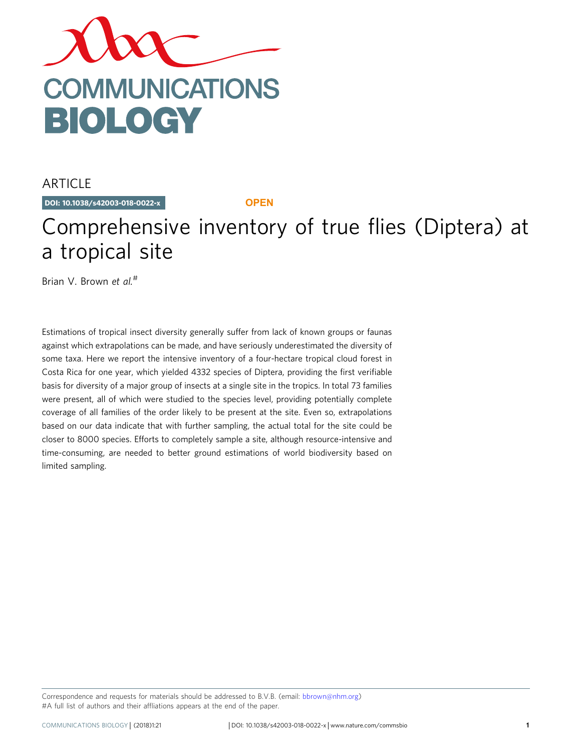

ARTICLE

DOI: 10.1038/s42003-018-0022-x **OPEN**

# Comprehensive inventory of true flies (Diptera) at a tropical site

Brian V. Brown et al.#

Estimations of tropical insect diversity generally suffer from lack of known groups or faunas against which extrapolations can be made, and have seriously underestimated the diversity of some taxa. Here we report the intensive inventory of a four-hectare tropical cloud forest in Costa Rica for one year, which yielded 4332 species of Diptera, providing the first verifiable basis for diversity of a major group of insects at a single site in the tropics. In total 73 families were present, all of which were studied to the species level, providing potentially complete coverage of all families of the order likely to be present at the site. Even so, extrapolations based on our data indicate that with further sampling, the actual total for the site could be closer to 8000 species. Efforts to completely sample a site, although resource-intensive and time-consuming, are needed to better ground estimations of world biodiversity based on limited sampling.

Correspondence and requests for materials should be addressed to B.V.B. (email: [bbrown@nhm.org](mailto:bbrown@nhm.org)) #A full list of authors and their affliations appears at the end of the paper.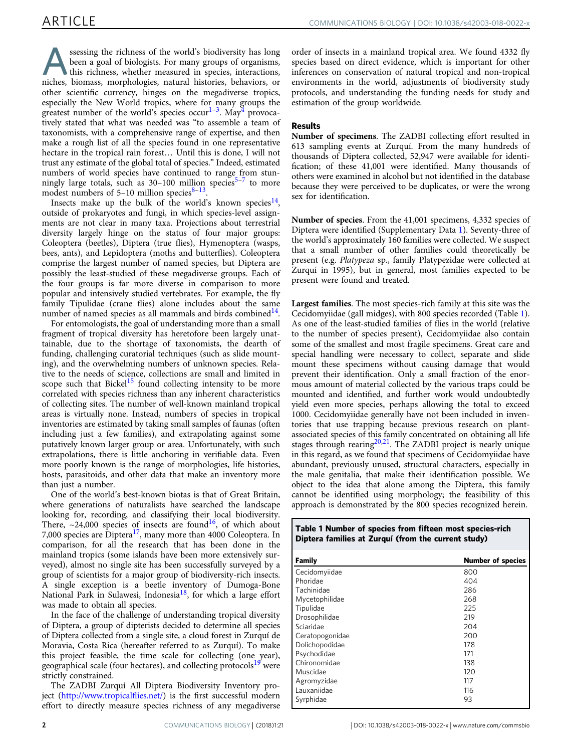<span id="page-1-0"></span>sessing the richness of the world's biodiversity has long<br>this richness, whether measured in species, interactions,<br>niches biomass, morphologies, natural histories, behaviors or been a goal of biologists. For many groups of organisms, niches, biomass, morphologies, natural histories, behaviors, or other scientific currency, hinges on the megadiverse tropics, especially the New World tropics, where for many groups the greatest number of the world's species occur<sup>[1](#page-5-0)–[3](#page-5-0)</sup>. May<sup>[4](#page-5-0)</sup> provocatively stated that what was needed was "to assemble a team of taxonomists, with a comprehensive range of expertise, and then make a rough list of all the species found in one representative hectare in the tropical rain forest… Until this is done, I will not trust any estimate of the global total of species." Indeed, estimated numbers of world species have continued to range from stunningly large totals, such as  $30-100$  million species<sup>5-[7](#page-5-0)</sup> to more modest numbers of 5–10 million species $8-13$  $8-13$  $8-13$ .

Insects make up the bulk of the world's known species<sup>14</sup>, outside of prokaryotes and fungi, in which species-level assignments are not clear in many taxa. Projections about terrestrial diversity largely hinge on the status of four major groups: Coleoptera (beetles), Diptera (true flies), Hymenoptera (wasps, bees, ants), and Lepidoptera (moths and butterflies). Coleoptera comprise the largest number of named species, but Diptera are possibly the least-studied of these megadiverse groups. Each of the four groups is far more diverse in comparison to more popular and intensively studied vertebrates. For example, the fly family Tipulidae (crane flies) alone includes about the same number of named species as all mammals and birds combined $14$ .

For entomologists, the goal of understanding more than a small fragment of tropical diversity has heretofore been largely unattainable, due to the shortage of taxonomists, the dearth of funding, challenging curatorial techniques (such as slide mounting), and the overwhelming numbers of unknown species. Relative to the needs of science, collections are small and limited in scope such that Bickel<sup>[15](#page-6-0)</sup> found collecting intensity to be more correlated with species richness than any inherent characteristics of collecting sites. The number of well-known mainland tropical areas is virtually none. Instead, numbers of species in tropical inventories are estimated by taking small samples of faunas (often including just a few families), and extrapolating against some putatively known larger group or area. Unfortunately, with such extrapolations, there is little anchoring in verifiable data. Even more poorly known is the range of morphologies, life histories, hosts, parasitoids, and other data that make an inventory more than just a number.

One of the world's best-known biotas is that of Great Britain, where generations of naturalists have searched the landscape looking for, recording, and classifying their local biodiversity. There,  $\sim$ 24,000 species of insects are found<sup>16</sup>, of which about 7,000 species are Diptera<sup>[17](#page-6-0)</sup>, many more than 4000 Coleoptera. In comparison, for all the research that has been done in the mainland tropics (some islands have been more extensively surveyed), almost no single site has been successfully surveyed by a group of scientists for a major group of biodiversity-rich insects. A single exception is a beetle inventory of Dumoga-Bone National Park in Sulawesi, Indonesia<sup>18</sup>, for which a large effort was made to obtain all species.

In the face of the challenge of understanding tropical diversity of Diptera, a group of dipterists decided to determine all species of Diptera collected from a single site, a cloud forest in Zurquí de Moravia, Costa Rica (hereafter referred to as Zurquí). To make this project feasible, the time scale for collecting (one year), geographical scale (four hectares), and collecting protocols<sup>[19](#page-6-0)'</sup> were strictly constrained.

The ZADBI Zurquí All Diptera Biodiversity Inventory project ([http://www.tropical](http://www.tropicalflies.net/)flies.net/) is the first successful modern effort to directly measure species richness of any megadiverse

order of insects in a mainland tropical area. We found 4332 fly species based on direct evidence, which is important for other inferences on conservation of natural tropical and non-tropical environments in the world, adjustments of biodiversity study protocols, and understanding the funding needs for study and estimation of the group worldwide.

## **Results**

Number of specimens. The ZADBI collecting effort resulted in 613 sampling events at Zurquí. From the many hundreds of thousands of Diptera collected, 52,947 were available for identification; of these 41,001 were identified. Many thousands of others were examined in alcohol but not identified in the database because they were perceived to be duplicates, or were the wrong sex for identification.

Number of species. From the 41,001 specimens, 4,332 species of Diptera were identified (Supplementary Data 1). Seventy-three of the world's approximately 160 families were collected. We suspect that a small number of other families could theoretically be present (e.g. Platypeza sp., family Platypezidae were collected at Zurquí in 1995), but in general, most families expected to be present were found and treated.

Largest families. The most species-rich family at this site was the Cecidomyiidae (gall midges), with 800 species recorded (Table 1). As one of the least-studied families of flies in the world (relative to the number of species present), Cecidomyiidae also contain some of the smallest and most fragile specimens. Great care and special handling were necessary to collect, separate and slide mount these specimens without causing damage that would prevent their identification. Only a small fraction of the enormous amount of material collected by the various traps could be mounted and identified, and further work would undoubtedly yield even more species, perhaps allowing the total to exceed 1000. Cecidomyiidae generally have not been included in inventories that use trapping because previous research on plantassociated species of this family concentrated on obtaining all life stages through rearing $20,21$ . The ZADBI project is nearly unique in this regard, as we found that specimens of Cecidomyiidae have abundant, previously unused, structural characters, especially in the male genitalia, that make their identification possible. We object to the idea that alone among the Diptera, this family cannot be identified using morphology; the feasibility of this approach is demonstrated by the 800 species recognized herein.

|                                                     |  |  | Table 1 Number of species from fifteen most species-rich |
|-----------------------------------------------------|--|--|----------------------------------------------------------|
| Diptera families at Zurquí (from the current study) |  |  |                                                          |

| Family          | <b>Number of species</b> |
|-----------------|--------------------------|
| Cecidomyiidae   | 800                      |
| Phoridae        | 404                      |
| Tachinidae      | 286                      |
| Mycetophilidae  | 268                      |
| Tipulidae       | 225                      |
| Drosophilidae   | 219                      |
| Sciaridae       | 204                      |
| Ceratopogonidae | 200                      |
| Dolichopodidae  | 178                      |
| Psychodidae     | 171                      |
| Chironomidae    | 138                      |
| Muscidae        | 120                      |
| Agromyzidae     | 117                      |
| Lauxaniidae     | 116                      |
| Syrphidae       | 93                       |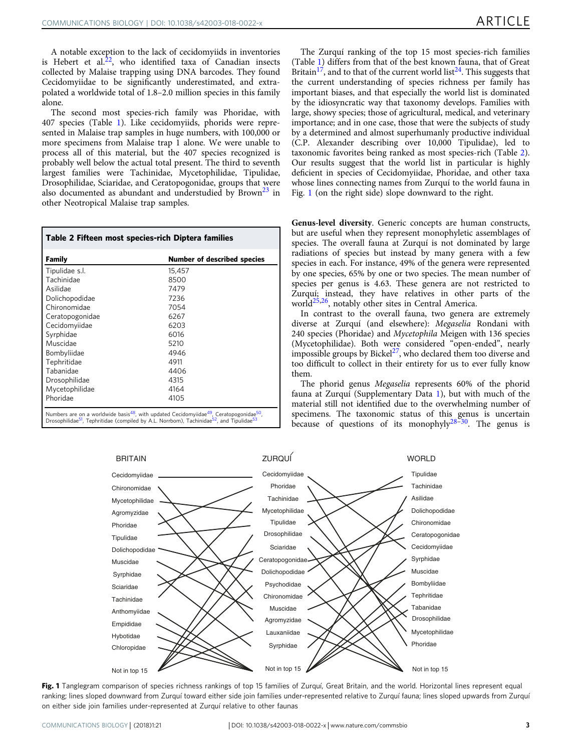A notable exception to the lack of cecidomyiids in inventories is Hebert et al. $^{22}$ , who identified taxa of Canadian insects collected by Malaise trapping using DNA barcodes. They found Cecidomyiidae to be significantly underestimated, and extrapolated a worldwide total of 1.8–2.0 million species in this family alone.

The second most species-rich family was Phoridae, with 407 species (Table [1\)](#page-1-0). Like cecidomyiids, phorids were represented in Malaise trap samples in huge numbers, with 100,000 or more specimens from Malaise trap 1 alone. We were unable to process all of this material, but the 407 species recognized is probably well below the actual total present. The third to seventh largest families were Tachinidae, Mycetophilidae, Tipulidae, Drosophilidae, Sciaridae, and Ceratopogonidae, groups that were also documented as abundant and understudied by  $Brown^{23}$  $Brown^{23}$  $Brown^{23}$  in other Neotropical Malaise trap samples.

|                 | Table 2 Fifteen most species-rich Diptera families                                                                        |  |  |  |  |
|-----------------|---------------------------------------------------------------------------------------------------------------------------|--|--|--|--|
| Family          | <b>Number of described species</b>                                                                                        |  |  |  |  |
| Tipulidae s.l.  | 15,457                                                                                                                    |  |  |  |  |
| Tachinidae      | 8500                                                                                                                      |  |  |  |  |
| Asilidae        | 7479                                                                                                                      |  |  |  |  |
| Dolichopodidae  | 7236                                                                                                                      |  |  |  |  |
| Chironomidae    | 7054                                                                                                                      |  |  |  |  |
| Ceratopogonidae | 6267                                                                                                                      |  |  |  |  |
| Cecidomyiidae   | 6203                                                                                                                      |  |  |  |  |
| Syrphidae       | 6016                                                                                                                      |  |  |  |  |
| Muscidae        | 5210                                                                                                                      |  |  |  |  |
| Bombyliidae     | 4946                                                                                                                      |  |  |  |  |
| Tephritidae     | 4911                                                                                                                      |  |  |  |  |
| Tabanidae       | 4406                                                                                                                      |  |  |  |  |
| Drosophilidae   | 4315                                                                                                                      |  |  |  |  |
| Mycetophilidae  | 4164                                                                                                                      |  |  |  |  |
| Phoridae        | 4105                                                                                                                      |  |  |  |  |
|                 | Numbers are on a worldwide basis <sup>48</sup> , with updated Cecidomviidae <sup>49</sup> , Ceratopogonidae <sup>50</sup> |  |  |  |  |

Numbers are on a worldwide basis<sup>48</sup>, with updated Cecidomyiidae<sup>49</sup>, Ceratopogonidae<sup>[50](#page-6-0)</sup>,<br>Drosophilidae<sup>[51](#page-6-0)</sup>, Tephritidae (compiled by A.L. Norrbom), Tachinidae<sup>52</sup>, and Tipulidae<sup>[53](#page-6-0)</sup>

The Zurquí ranking of the top 15 most species-rich families (Table [1](#page-1-0)) differs from that of the best known fauna, that of Great Britain<sup>17</sup>, and to that of the current world list<sup>24</sup>. This suggests that the current understanding of species richness per family has important biases, and that especially the world list is dominated by the idiosyncratic way that taxonomy develops. Families with large, showy species; those of agricultural, medical, and veterinary importance; and in one case, those that were the subjects of study by a determined and almost superhumanly productive individual (C.P. Alexander describing over 10,000 Tipulidae), led to taxonomic favorites being ranked as most species-rich (Table 2). Our results suggest that the world list in particular is highly deficient in species of Cecidomyiidae, Phoridae, and other taxa whose lines connecting names from Zurquí to the world fauna in Fig. 1 (on the right side) slope downward to the right.

Genus-level diversity. Generic concepts are human constructs, but are useful when they represent monophyletic assemblages of species. The overall fauna at Zurquí is not dominated by large radiations of species but instead by many genera with a few species in each. For instance, 49% of the genera were represented by one species, 65% by one or two species. The mean number of species per genus is 4.63. These genera are not restricted to Zurquí; instead, they have relatives in other parts of the world<sup>25,26</sup>, notably other sites in Central America.

In contrast to the overall fauna, two genera are extremely diverse at Zurquí (and elsewhere): Megaselia Rondani with 240 species (Phoridae) and Mycetophila Meigen with 136 species (Mycetophilidae). Both were considered "open-ended", nearly impossible groups by Bickel<sup>27</sup>, who declared them too diverse and too difficult to collect in their entirety for us to ever fully know them.

The phorid genus Megaselia represents 60% of the phorid fauna at Zurquí (Supplementary Data 1), but with much of the material still not identified due to the overwhelming number of specimens. The taxonomic status of this genus is uncertain because of questions of its monophyly<sup>[28](#page-6-0)–[30](#page-6-0)</sup>. The genus is



Fig. 1 Tanglegram comparison of species richness rankings of top 15 families of Zurquí, Great Britain, and the world. Horizontal lines represent equal ranking; lines sloped downward from Zurquí toward either side join families under-represented relative to Zurquí fauna; lines sloped upwards from Zurquí on either side join families under-represented at Zurquí relative to other faunas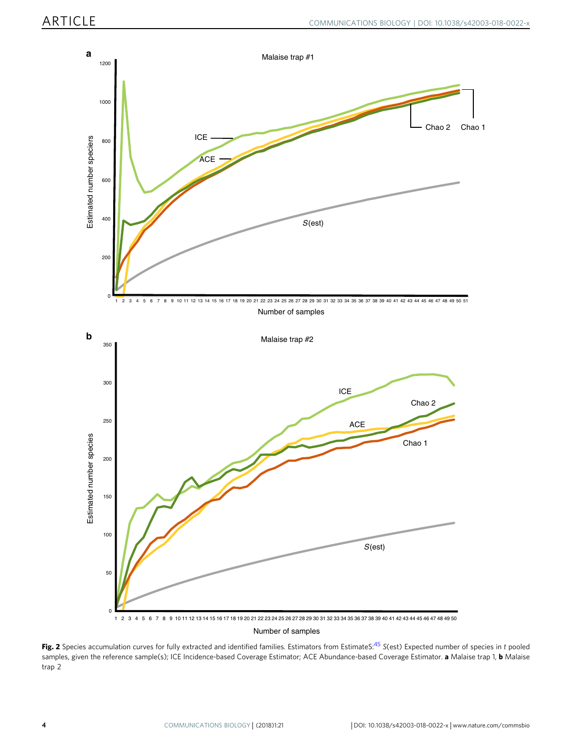<span id="page-3-0"></span>

Number of samples

Fig. 2 Species accumulation curves for fully extracted and identified families. Estimators from EstimateS:<sup>45</sup> S(est) Expected number of species in t pooled samples, given the reference sample(s); ICE Incidence-based Coverage Estimator; ACE Abundance-based Coverage Estimator. a Malaise trap 1, b Malaise trap 2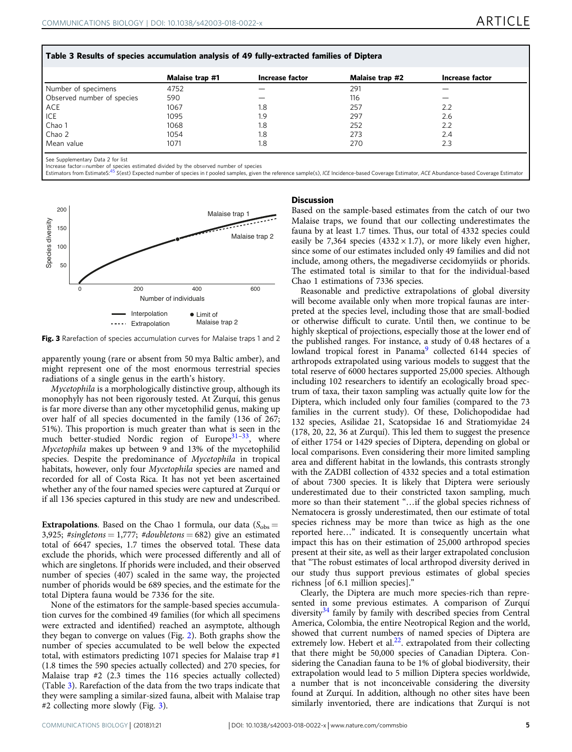<span id="page-4-0"></span>

|                            | Malaise trap #1 | Increase factor | Malaise trap #2 | <b>Increase factor</b> |
|----------------------------|-----------------|-----------------|-----------------|------------------------|
| Number of specimens        | 4752            |                 | 291             |                        |
| Observed number of species | 590             |                 | 116             |                        |
| ACE                        | 1067            | 1.8             | 257             | 2.2                    |
| <b>I</b> ICE               | 1095            | 1.9             | 297             | 2.6                    |
| Chao 1                     | 1068            | 1.8             | 252             | 2.2                    |
| Chao 2                     | 1054            | 1.8             | 273             | 2.4                    |
| Mean value                 | 1071            | 1.8             | 270             | 2.3                    |

ementary Data 2 for list

Increase factor=number of species estimated divided by the observed number of species<br>Estimators from EstimateS:<sup>45</sup> S(est) Expected number of species in t pooled samples, given the reference sample(s), ICE Incidence-base



Fig. 3 Rarefaction of species accumulation curves for Malaise traps 1 and 2

apparently young (rare or absent from 50 mya Baltic amber), and might represent one of the most enormous terrestrial species radiations of a single genus in the earth's history.

Mycetophila is a morphologically distinctive group, although its monophyly has not been rigorously tested. At Zurquí, this genus is far more diverse than any other mycetophilid genus, making up over half of all species documented in the family (136 of 267; 51%). This proportion is much greater than what is seen in the much better-studied Nordic region of Europe $31-33$  $31-33$  $31-33$ , where Mycetophila makes up between 9 and 13% of the mycetophilid species. Despite the predominance of Mycetophila in tropical habitats, however, only four Mycetophila species are named and recorded for all of Costa Rica. It has not yet been ascertained whether any of the four named species were captured at Zurquí or if all 136 species captured in this study are new and undescribed.

**Extrapolations.** Based on the Chao 1 formula, our data  $(S_{obs} =$ 3,925; #singletons = 1,777; #doubletons = 682) give an estimated total of 6647 species, 1.7 times the observed total. These data exclude the phorids, which were processed differently and all of which are singletons. If phorids were included, and their observed number of species (407) scaled in the same way, the projected number of phorids would be 689 species, and the estimate for the total Diptera fauna would be 7336 for the site.

None of the estimators for the sample-based species accumulation curves for the combined 49 families (for which all specimens were extracted and identified) reached an asymptote, although they began to converge on values (Fig. [2](#page-3-0)). Both graphs show the number of species accumulated to be well below the expected total, with estimators predicting 1071 species for Malaise trap #1 (1.8 times the 590 species actually collected) and 270 species, for Malaise trap #2 (2.3 times the 116 species actually collected) (Table 3). Rarefaction of the data from the two traps indicate that they were sampling a similar-sized fauna, albeit with Malaise trap #2 collecting more slowly (Fig. 3).

### Discussion

Based on the sample-based estimates from the catch of our two Malaise traps, we found that our collecting underestimates the fauna by at least 1.7 times. Thus, our total of 4332 species could easily be 7,364 species (4332  $\times$  1.7), or more likely even higher, since some of our estimates included only 49 families and did not include, among others, the megadiverse cecidomyiids or phorids. The estimated total is similar to that for the individual-based Chao 1 estimations of 7336 species.

Reasonable and predictive extrapolations of global diversity will become available only when more tropical faunas are interpreted at the species level, including those that are small-bodied or otherwise difficult to curate. Until then, we continue to be highly skeptical of projections, especially those at the lower end of the published ranges. For instance, a study of 0.48 hectares of a lowland tropical forest in Panama<sup>[9](#page-5-0)</sup> collected 6144 species of arthropods extrapolated using various models to suggest that the total reserve of 6000 hectares supported 25,000 species. Although including 102 researchers to identify an ecologically broad spectrum of taxa, their taxon sampling was actually quite low for the Diptera, which included only four families (compared to the 73 families in the current study). Of these, Dolichopodidae had 132 species, Asilidae 21, Scatopsidae 16 and Stratiomyidae 24 (178, 20, 22, 36 at Zurquí). This led them to suggest the presence of either 1754 or 1429 species of Diptera, depending on global or local comparisons. Even considering their more limited sampling area and different habitat in the lowlands, this contrasts strongly with the ZADBI collection of 4332 species and a total estimation of about 7300 species. It is likely that Diptera were seriously underestimated due to their constricted taxon sampling, much more so than their statement "…if the global species richness of Nematocera is grossly underestimated, then our estimate of total species richness may be more than twice as high as the one reported here…" indicated. It is consequently uncertain what impact this has on their estimation of 25,000 arthropod species present at their site, as well as their larger extrapolated conclusion that "The robust estimates of local arthropod diversity derived in our study thus support previous estimates of global species richness [of 6.1 million species]."

Clearly, the Diptera are much more species-rich than represented in some previous estimates. A comparison of Zurquí diversity<sup>[34](#page-6-0)</sup> family by family with described species from Central America, Colombia, the entire Neotropical Region and the world, showed that current numbers of named species of Diptera are extremely low. Hebert et al. $^{22}$ . extrapolated from their collecting that there might be 50,000 species of Canadian Diptera. Considering the Canadian fauna to be 1% of global biodiversity, their extrapolation would lead to 5 million Diptera species worldwide, a number that is not inconceivable considering the diversity found at Zurquí. In addition, although no other sites have been similarly inventoried, there are indications that Zurquí is not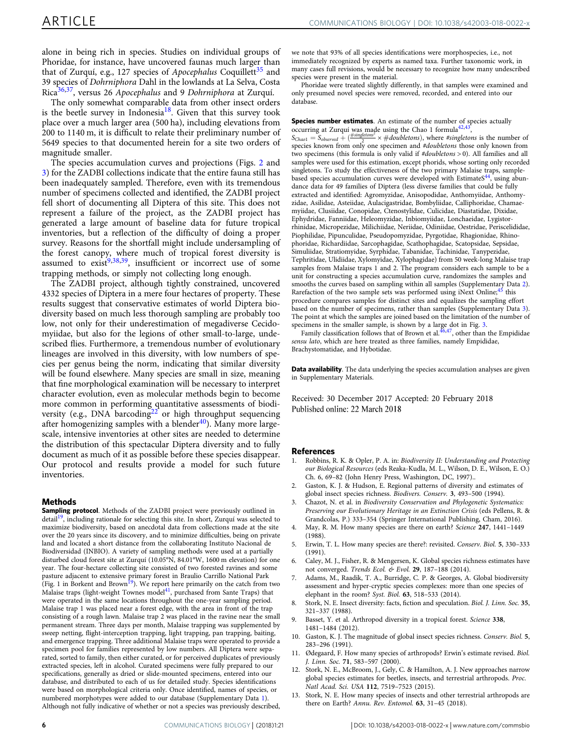<span id="page-5-0"></span>alone in being rich in species. Studies on individual groups of Phoridae, for instance, have uncovered faunas much larger than that of Zurquí, e.g., 127 species of *Apocephalus* Coquillett<sup>[35](#page-6-0)</sup> and 39 species of Dohrniphora Dahl in the lowlands at La Selva, Costa Rica $36,37$  $36,37$  $36,37$ , versus 26 Apocephalus and 9 Dohrniphora at Zurquí.

The only somewhat comparable data from other insect orders is the beetle survey in Indonesia<sup>[18](#page-6-0)</sup>. Given that this survey took place over a much larger area (500 ha), including elevations from 200 to 1140 m, it is difficult to relate their preliminary number of 5649 species to that documented herein for a site two orders of magnitude smaller.

The species accumulation curves and projections (Figs. [2](#page-3-0) and [3](#page-4-0)) for the ZADBI collections indicate that the entire fauna still has been inadequately sampled. Therefore, even with its tremendous number of specimens collected and identified, the ZADBI project fell short of documenting all Diptera of this site. This does not represent a failure of the project, as the ZADBI project has generated a large amount of baseline data for future tropical inventories, but a reflection of the difficulty of doing a proper survey. Reasons for the shortfall might include undersampling of the forest canopy, where much of tropical forest diversity is assumed to exist<sup>9[,38](#page-6-0),[39](#page-6-0)</sup>, insufficient or incorrect use of some trapping methods, or simply not collecting long enough.

The ZADBI project, although tightly constrained, uncovered 4332 species of Diptera in a mere four hectares of property. These results suggest that conservative estimates of world Diptera biodiversity based on much less thorough sampling are probably too low, not only for their underestimation of megadiverse Cecidomyiidae, but also for the legions of other small-to-large, undescribed flies. Furthermore, a tremendous number of evolutionary lineages are involved in this diversity, with low numbers of species per genus being the norm, indicating that similar diversity will be found elsewhere. Many species are small in size, meaning that fine morphological examination will be necessary to interpret character evolution, even as molecular methods begin to become more common in performing quantitative assessments of biodiversity (e.g., DNA barcoding $22$  or high throughput sequencing after homogenizing samples with a blender<sup>40</sup>). Many more largescale, intensive inventories at other sites are needed to determine the distribution of this spectacular Diptera diversity and to fully document as much of it as possible before these species disappear. Our protocol and results provide a model for such future inventories.

## Methods

Sampling protocol. Methods of the ZADBI project were previously outlined in detail<sup>19</sup>, including rationale for selecting this site. In short, Zurquí was selected to maximize biodiversity, based on anecdotal data from collections made at the site over the 20 years since its discovery, and to minimize difficulties, being on private land and located a short distance from the collaborating Instituto Nacional de Biodiversidad (INBIO). A variety of sampling methods were used at a partially disturbed cloud forest site at Zurquí (10.05°N, 84.01°W, 1600 m elevation) for one year. The four-hectare collecting site consisted of two forested ravines and some pasture adjacent to extensive primary forest in Braulio Carrillo National Park<br>(Fig. 1 in Borkent and Brown<sup>19</sup>). We report here primarily on the catch from two Malaise traps (light-weight Townes model<sup>[41](#page-6-0)</sup>, purchased from Sante Traps) that were operated in the same locations throughout the one-year sampling period. Malaise trap 1 was placed near a forest edge, with the area in front of the trap consisting of a rough lawn. Malaise trap 2 was placed in the ravine near the small permanent stream. Three days per month, Malaise trapping was supplemented by sweep netting, flight-interception trapping, light trapping, pan trapping, baiting, and emergence trapping. Three additional Malaise traps were operated to provide a specimen pool for families represented by low numbers. All Diptera were separated, sorted to family, then either curated, or for perceived duplicates of previously extracted species, left in alcohol. Curated specimens were fully prepared to our specifications, generally as dried or slide-mounted specimens, entered into our database, and distributed to each of us for detailed study. Species identifications were based on morphological criteria only. Once identified, names of species, or numbered morphotypes were added to our database (Supplementary Data 1). Although not fully indicative of whether or not a species was previously described,

we note that 93% of all species identifications were morphospecies, i.e., not immediately recognized by experts as named taxa. Further taxonomic work, in many cases full revisions, would be necessary to recognize how many undescribed species were present in the material.

Phoridae were treated slightly differently, in that samples were examined and only presumed novel species were removed, recorded, and entered into our database.

**Species number estimates**. An estimate of the number of species actually occurring at Zurquí was made using the Chao 1 formula<sup>42,43</sup>,  $S_{Chao1} = S_{observed} + \left(\frac{\# singletons}{2}\right) \times \# doubletons\right)$ , where  $\# singletons$  is the number of

species known from only one specimen and #doubletons those only known from two specimens (this formula is only valid if #doubletons > 0). All families and all samples were used for this estimation, except phorids, whose sorting only recorded singletons. To study the effectiveness of the two primary Malaise traps, sample-based species accumulation curves were developed with EstimateS<sup>[44](#page-6-0)</sup>, using abundance data for 49 families of Diptera (less diverse families that could be fully extracted and identified: Agromyzidae, Anisopodidae, Anthomyiidae, Anthomyzidae, Asilidae, Asteiidae, Aulacigastridae, Bombyliidae, Calliphoridae, Chamaemyiidae, Clusiidae, Conopidae, Ctenostylidae, Culicidae, Diastatidae, Dixidae, Ephydridae, Fanniidae, Heleomyzidae, Inbiomyiidae, Lonchaeidae, Lygistorrhinidae, Micropezidae, Milichiidae, Neriidae, Odiniidae, Oestridae, Periscelididae, Piophilidae, Pipunculidae, Pseudopomyzidae, Pyrgotidae, Rhagionidae, Rhinophoridae, Richardiidae, Sarcophagidae, Scathophagidae, Scatopsidae, Sepsidae, Simuliidae, Stratiomyidae, Syrphidae, Tabanidae, Tachinidae, Tanypezidae, Tephritidae, Ulidiidae, Xylomyidae, Xylophagidae) from 50 week-long Malaise trap samples from Malaise traps 1 and 2. The program considers each sample to be a unit for constructing a species accumulation curve, randomizes the samples and smooths the curves based on sampling within all samples (Supplementary Data 2). Rarefaction of the two sample sets was performed using iNext Online; $45$  this procedure compares samples for distinct sites and equalizes the sampling effort based on the number of specimens, rather than samples (Supplementary Data 3). The point at which the samples are joined based on the limitation of the number of

specimens in the smaller sample, is shown by a large dot in Fig. [3.](#page-4-0)<br>Family classification follows that of Brown et al.<sup>46,47</sup>, other than the Empididae sensu lato, which are here treated as three families, namely Empididae, Brachystomatidae, and Hybotidae.

Data availability. The data underlying the species accumulation analyses are given in Supplementary Materials.

Received: 30 December 2017 Accepted: 20 February 2018 Published online: 22 March 2018

#### References

- 1. Robbins, R. K. & Opler, P. A. in: Biodiversity II: Understanding and Protecting our Biological Resources (eds Reaka-Kudla, M. L., Wilson, D. E., Wilson, E. O.) Ch. 6, 69–82 (John Henry Press, Washington, DC, 1997)..
- 2. Gaston, K. J. & Hudson, E. Regional patterns of diversity and estimates of global insect species richness. Biodivers. Conserv. 3, 493–500 (1994).
- 3. Chazot, N. et al. in Biodiversity Conservation and Phylogenetic Systematics: Preserving our Evolutionary Heritage in an Extinction Crisis (eds Pellens, R. & Grandcolas, P.) 333–354 (Springer International Publishing, Cham, 2016).
- 4. May, R. M. How many species are there on earth? Science 247, 1441–1449 (1988).
- 5. Erwin, T. L. How many species are there?: revisited. Conserv. Biol. 5, 330–333 (1991).
- 6. Caley, M. J., Fisher, R. & Mengersen, K. Global species richness estimates have not converged. Trends Ecol. & Evol. 29, 187–188 (2014).
- 7. Adams, M., Raadik, T. A., Burridge, C. P. & Georges, A. Global biodiversity assessment and hyper-cryptic species complexes: more than one species of elephant in the room? Syst. Biol. 63, 518–533 (2014).
- 8. Stork, N. E. Insect diversity: facts, fiction and speculation. Biol. J. Linn. Soc. 35, 321–337 (1988).
- 9. Basset, Y. et al. Arthropod diversity in a tropical forest. Science 338, 1481–1484 (2012).
- 10. Gaston, K. J. The magnitude of global insect species richness. Conserv. Biol. 5, 283–296 (1991).
- 11. Ødegaard, F. How many species of arthropods? Erwin's estimate revised. Biol. J. Linn. Soc. 71, 583–597 (2000).
- 12. Stork, N. E., McBroom, J., Gely, C. & Hamilton, A. J. New approaches narrow global species estimates for beetles, insects, and terrestrial arthropods. Proc. Natl Acad. Sci. USA 112, 7519–7523 (2015).
- 13. Stork, N. E. How many species of insects and other terrestrial arthropods are there on Earth? Annu. Rev. Entomol. 63, 31–45 (2018).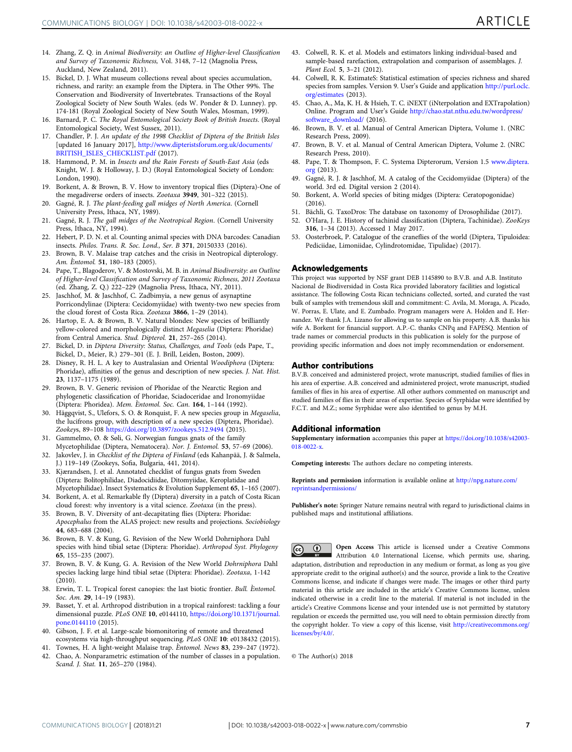- <span id="page-6-0"></span>14. Zhang, Z. Q. in Animal Biodiversity: an Outline of Higher-level Classification and Survey of Taxonomic Richness, Vol. 3148, 7–12 (Magnolia Press, Auckland, New Zealand, 2011).
- 15. Bickel, D. J. What museum collections reveal about species accumulation, richness, and rarity: an example from the Diptera. in The Other 99%. The Conservation and Biodiversity of Invertebrates. Transactions of the Royal Zoological Society of New South Wales. (eds W. Ponder & D. Lunney). pp. 174-181 (Royal Zoological Society of New South Wales, Mosman, 1999).
- 16. Barnard, P. C. The Royal Entomological Society Book of British Insects. (Royal Entomological Society, West Sussex, 2011).
- 17. Chandler, P. J. An update of the 1998 Checklist of Diptera of the British Isles [updated 16 January 2017], [http://www.dipteristsforum.org.uk/documents/](http://www.dipteristsforum.org.uk/documents/BRITISH_ISLES_CHECKLIST.pdf) [BRITISH\\_ISLES\\_CHECKLIST.pdf](http://www.dipteristsforum.org.uk/documents/BRITISH_ISLES_CHECKLIST.pdf) (2017).
- 18. Hammond, P. M. in Insects and the Rain Forests of South-East Asia (eds Knight, W. J. & Holloway, J. D.) (Royal Entomological Society of London: London, 1990).
- 19. Borkent, A. & Brown, B. V. How to inventory tropical flies (Diptera)-One of the megadiverse orders of insects. Zootaxa 3949, 301–322 (2015).
- 20. Gagné, R. J. The plant-feeding gall midges of North America. (Cornell University Press, Ithaca, NY, 1989).
- 21. Gagné, R. J. The gall midges of the Neotropical Region. (Cornell University Press, Ithaca, NY, 1994).
- 22. Hebert, P. D. N. et al. Counting animal species with DNA barcodes: Canadian insects. Philos. Trans. R. Soc. Lond., Ser. B 371, 20150333 (2016).
- 23. Brown, B. V. Malaise trap catches and the crisis in Neotropical dipterology. Am. È ntomol. 51, 180–183 (2005).
- 24. Pape, T., Blagoderov, V. & Mostovski, M. B. in Animal Biodiversity: an Outline of Higher-level Classification and Survey of Taxonomic Richness, 2011 Zootaxa (ed. Zhang, Z. Q.) 222–229 (Magnolia Press, Ithaca, NY, 2011).
- 25. Jaschhof, M. & Jaschhof, C. Zadbimyia, a new genus of asynaptine Porricondylinae (Diptera: Cecidomyiidae) with twenty-two new species from the cloud forest of Costa Rica. Zootaxa 3866, 1–29 (2014).
- 26. Hartop, E. A. & Brown, B. V. Natural blondes: New species of brilliantly yellow-colored and morphologically distinct Megaselia (Diptera: Phoridae) from Central America. Stud. Dipterol. 21, 257–265 (2014).
- 27. Bickel, D. in Diptera Diversity: Status, Challenges, and Tools (eds Pape, T., Bickel, D., Meier, R.) 279–301 (E. J. Brill, Leiden, Boston, 2009).
- 28. Disney, R. H. L. A key to Australasian and Oriental Woodiphora (Diptera: Phoridae), affinities of the genus and description of new species. J. Nat. Hist. 23, 1137–1175 (1989).
- Brown, B. V. Generic revision of Phoridae of the Nearctic Region and phylogenetic classification of Phoridae, Sciadoceridae and Ironomyiidae (Diptera: Phoridea). Mem. Èntomol. Soc. Can. 164, 1-144 (1992).
- Häggqvist, S., Ulefors, S. O. & Ronquist, F. A new species group in Megaselia, the lucifrons group, with description of a new species (Diptera, Phoridae). Zookeys, 89–108 <https://doi.org/10.3897/zookeys.512.9494> (2015).
- 31. Gammelmo, Ø. & Søli, G. Norwegian fungus gnats of the family Mycetophilidae (Diptera, Nematocera). Nor. J. Entomol. 53, 57–69 (2006).
- 32. Jakovlev, J. in Checklist of the Diptera of Finland (eds Kahanpää, J. & Salmela, J.) 119–149 (Zookeys, Sofia, Bulgaria, 441, 2014).
- 33. Kjærandsen, J. et al. Annotated checklist of fungus gnats from Sweden (Diptera: Bolitophilidae, Diadocidiidae, Ditomyiidae, Keroplatidae and Mycetophilidae). Insect Systematics & Evolution Supplement 65, 1–165 (2007).
- 34. Borkent, A. et al. Remarkable fly (Diptera) diversity in a patch of Costa Rican cloud forest: why inventory is a vital science. Zootaxa (in the press).
- 35. Brown, B. V. Diversity of ant-decapitating flies (Diptera: Phoridae: Apocephalus from the ALAS project: new results and projections. Sociobiology 44, 683–688 (2004).
- 36. Brown, B. V. & Kung, G. Revision of the New World Dohrniphora Dahl species with hind tibial setae (Diptera: Phoridae). Arthropod Syst. Phylogeny 65, 155–235 (2007).
- 37. Brown, B. V. & Kung, G. A. Revision of the New World Dohrniphora Dahl species lacking large hind tibial setae (Diptera: Phoridae). Zootaxa, 1-142 (2010).
- 38. Erwin, T. L. Tropical forest canopies: the last biotic frontier. Bull. Entomol. Soc. Am. 29, 14-19 (1983).
- 39. Basset, Y. et al. Arthropod distribution in a tropical rainforest: tackling a four dimensional puzzle. PLoS ONE 10, e0144110, [https://doi.org/10.1371/journal.](https://doi.org/10.1371/journal.pone.0144110) [pone.0144110](https://doi.org/10.1371/journal.pone.0144110) (2015).
- 40. Gibson, J. F. et al. Large-scale biomonitoring of remote and threatened ecosystems via high-throughput sequencing. PLoS ONE 10: e0138432 (2015).
- 41. Townes, H. A light-weight Malaise trap. Entomol. News 83, 239-247 (1972). 42. Chao, A. Nonparametric estimation of the number of classes in a population. Scand. J. Stat. 11, 265–270 (1984).
- 43. Colwell, R. K. et al. Models and estimators linking individual-based and sample-based rarefaction, extrapolation and comparison of assemblages. J. Plant Ecol. 5, 3–21 (2012).
- 44. Colwell, R. K. EstimateS: Statistical estimation of species richness and shared species from samples. Version 9. User's Guide and application [http://purl.oclc.](http://purl.oclc.org/estimates) [org/estimates](http://purl.oclc.org/estimates) (2013).
- 45. Chao, A., Ma, K. H. & Hsieh, T. C. iNEXT (iNterpolation and EXTrapolation) Online. Program and User's Guide [http://chao.stat.nthu.edu.tw/wordpress/](http://chao.stat.nthu.edu.tw/wordpress/software_download/) [software\\_download/](http://chao.stat.nthu.edu.tw/wordpress/software_download/) (2016).
- 46. Brown, B. V. et al. Manual of Central American Diptera, Volume 1. (NRC Research Press, 2009).
- 47. Brown, B. V. et al. Manual of Central American Diptera, Volume 2. (NRC Research Press, 2010).
- 48. Pape, T. & Thompson, F. C. Systema Dipterorum, Version 1.5 [www.diptera.](http://www.diptera.org) [org](http://www.diptera.org) (2013).
- 49. Gagné, R. J. & Jaschhof, M. A catalog of the Cecidomyiidae (Diptera) of the world. 3rd ed. Digital version 2 (2014).
- 50. Borkent, A. World species of biting midges (Diptera: Ceratopogonidae) (2016).
- 51. Bächli, G. TaxoDros: The database on taxonomy of Drosophilidae (2017).<br>52. O'Hara. I. F. History of tachinid classification (Diptera, Tachinidae). ZooK
- 52. O'Hara, J. E. History of tachinid classification (Diptera, Tachinidae). ZooKeys 316, 1–34 (2013). Accessed 1 May 2017.
- 53. Oosterbroek, P. Catalogue of the craneflies of the world (Diptera, Tipuloidea: Pediciidae, Limoniidae, Cylindrotomidae, Tipulidae) (2017).

## Acknowledgements

This project was supported by NSF grant DEB 1145890 to B.V.B. and A.B. Instituto Nacional de Biodiversidad in Costa Rica provided laboratory facilities and logistical assistance. The following Costa Rican technicians collected, sorted, and curated the vast bulk of samples with tremendous skill and commitment: C. Avila, M. Moraga, A. Picado, W. Porras, E. Ulate, and E. Zumbado. Program managers were A. Holden and E. Hernandez. We thank J.A. Lizano for allowing us to sample on his property. A.B. thanks his wife A. Borkent for financial support. A.P.-C. thanks CNPq and FAPESQ. Mention of trade names or commercial products in this publication is solely for the purpose of providing specific information and does not imply recommendation or endorsement.

## Author contributions

B.V.B. conceived and administered project, wrote manuscript, studied families of flies in his area of expertise. A.B. conceived and administered project, wrote manuscript, studied families of flies in his area of expertise. All other authors commented on manuscript and studied families of flies in their areas of expertise. Species of Syrphidae were identified by F.C.T. and M.Z.; some Syrphidae were also identified to genus by M.H.

# Additional information

Supplementary information accompanies this paper at [https://doi.org/10.1038/s42003-](https://doi.org/10.1038/s42003-018-0022-x) [018-0022-x](https://doi.org/10.1038/s42003-018-0022-x).

Competing interests: The authors declare no competing interests.

Reprints and permission information is available online at [http://npg.nature.com/](http://npg.nature.com/reprintsandpermissions/) [reprintsandpermissions/](http://npg.nature.com/reprintsandpermissions/)

Publisher's note: Springer Nature remains neutral with regard to jurisdictional claims in published maps and institutional affiliations.

Open Access This article is licensed under a Creative Commons  $(c)$  $\bigcirc$ Attribution 4.0 International License, which permits use, sharing, adaptation, distribution and reproduction in any medium or format, as long as you give appropriate credit to the original author(s) and the source, provide a link to the Creative Commons license, and indicate if changes were made. The images or other third party material in this article are included in the article's Creative Commons license, unless indicated otherwise in a credit line to the material. If material is not included in the article's Creative Commons license and your intended use is not permitted by statutory regulation or exceeds the permitted use, you will need to obtain permission directly from the copyright holder. To view a copy of this license, visit [http://creativecommons.org/](http://creativecommons.org/licenses/by/4.0/) [licenses/by/4.0/](http://creativecommons.org/licenses/by/4.0/).

© The Author(s) 2018